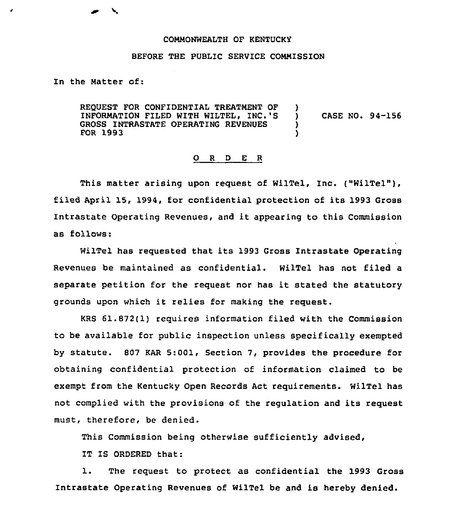## COMMONWEALTH OF KENTUCKY

## BEFORE THE PUBLIC SERVICE COMMISSION

In the Matter of:

REQUEST FOR CONFIDENTIAL TREATMENT OF INFORMATION FILED WITH WILTEL, INC.'S GROSS INTRASTATE OPERATING REVENUES FOR 1993 ) ) CASE NO. 94-156 ) )

## 0 <sup>R</sup> <sup>D</sup> E <sup>R</sup>

This matter arising upon reguest of WilTel, Inc. ("WilTel"), filed April 15, 1994, for confidential protection of its 1993 Gross Intrastate Operating Revenues, and it appearing to this Commission as follows:

WilTel has reguested that its 1993 Gross Intrastate Operating Revenues be maintained as confidential. WilTel has not filed a separate petition for the reguest nor has it stated the statutory grounds upon which it relies for making the reguest.

KRS 61.872(1) requires information filed with the Commission to be available for public inspection unless specifically exempted by statute. 807 KAR 5:001, Section 7, provides the procedure for obtaining confidential protection of information claimed to be exempt from the Kentucky Open Records Act reguirements. WilTel has not complied with the provisions of the regulation and its request must, therefore, be denied.

This Commission being otherwise sufficiently advised,

IT IS ORDERED that:

1. The reguest to protect as confidential the 1993 Gross Intrastate Operating Revenues of WilTel be and is hereby denied.